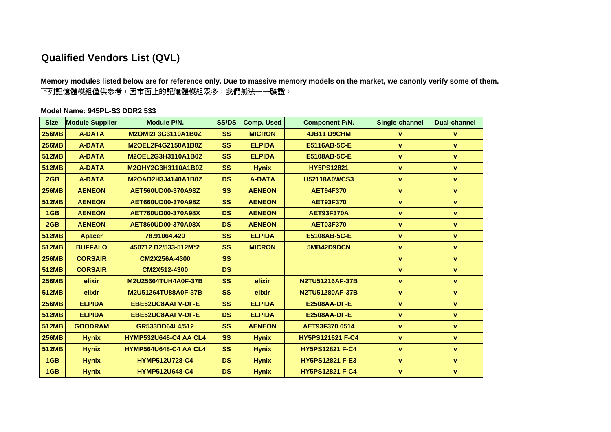## **Qualified Vendors List (QVL)**

**Memory modules listed below are for reference only. Due to massive memory models on the market, we canonly verify some of them.** 下列記憶體模組僅供參考,因市面上的記憶體模組眾多,我們無法一一驗證。

## **Model Name: 945PL-S3 DDR2 533**

| <b>Size</b>  | <b>Module Supplier</b> | <b>Module P/N.</b>           | <b>SS/DS</b> | <b>Comp. Used</b> | <b>Component P/N.</b>  | Single-channel | <b>Dual-channel</b> |
|--------------|------------------------|------------------------------|--------------|-------------------|------------------------|----------------|---------------------|
| <b>256MB</b> | <b>A-DATA</b>          | M2OMI2F3G3110A1B0Z           | <b>SS</b>    | <b>MICRON</b>     | 4JB11 D9CHM            | $\mathbf{v}$   | $\mathbf{v}$        |
| <b>256MB</b> | <b>A-DATA</b>          | M2OEL2F4G2150A1B0Z           | <b>SS</b>    | <b>ELPIDA</b>     | E5116AB-5C-E           | $\mathbf{v}$   | $\mathbf{v}$        |
| <b>512MB</b> | <b>A-DATA</b>          | M2OEL2G3H3110A1B0Z           | <b>SS</b>    | <b>ELPIDA</b>     | E5108AB-5C-E           | $\mathbf{v}$   | $\mathbf{v}$        |
| <b>512MB</b> | <b>A-DATA</b>          | M2OHY2G3H3110A1B0Z           | <b>SS</b>    | <b>Hynix</b>      | <b>HY5PS12821</b>      | $\mathbf{v}$   | $\mathbf{v}$        |
| 2GB          | <b>A-DATA</b>          | M2OAD2H3J4140A1B0Z           | <b>DS</b>    | <b>A-DATA</b>     | <b>U52118A0WCS3</b>    | $\mathbf{v}$   | $\mathbf{v}$        |
| <b>256MB</b> | <b>AENEON</b>          | AET560UD00-370A98Z           | <b>SS</b>    | <b>AENEON</b>     | <b>AET94F370</b>       | $\mathbf{v}$   | $\mathbf{v}$        |
| <b>512MB</b> | <b>AENEON</b>          | AET660UD00-370A98Z           | <b>SS</b>    | <b>AENEON</b>     | <b>AET93F370</b>       | $\mathbf{v}$   | $\mathbf{v}$        |
| 1GB          | <b>AENEON</b>          | AET760UD00-370A98X           | <b>DS</b>    | <b>AENEON</b>     | <b>AET93F370A</b>      | $\mathbf{v}$   | $\mathbf v$         |
| 2GB          | <b>AENEON</b>          | AET860UD00-370A08X           | <b>DS</b>    | <b>AENEON</b>     | <b>AET03F370</b>       | $\mathbf{v}$   | $\mathbf{v}$        |
| <b>512MB</b> | <b>Apacer</b>          | 78.91064.420                 | <b>SS</b>    | <b>ELPIDA</b>     | E5108AB-5C-E           | $\mathbf{v}$   | $\mathbf{v}$        |
| <b>512MB</b> | <b>BUFFALO</b>         | 450712 D2/533-512M*2         | <b>SS</b>    | <b>MICRON</b>     | 5MB42D9DCN             | $\mathbf{v}$   | $\mathbf{V}$        |
| <b>256MB</b> | <b>CORSAIR</b>         | CM2X256A-4300                | <b>SS</b>    |                   |                        | $\mathbf{v}$   | $\mathbf{V}$        |
| <b>512MB</b> | <b>CORSAIR</b>         | CM2X512-4300                 | <b>DS</b>    |                   |                        | $\mathbf{v}$   | $\mathbf{v}$        |
| <b>256MB</b> | elixir                 | M2U25664TUH4A0F-37B          | <b>SS</b>    | elixir            | N2TU51216AF-37B        | $\mathbf{v}$   | $\mathbf{v}$        |
| <b>512MB</b> | elixir                 | M2U51264TU88A0F-37B          | <b>SS</b>    | elixir            | <b>N2TU51280AF-37B</b> | $\mathbf{v}$   | $\mathbf v$         |
| <b>256MB</b> | <b>ELPIDA</b>          | EBE52UC8AAFV-DF-E            | <b>SS</b>    | <b>ELPIDA</b>     | <b>E2508AA-DF-E</b>    | $\mathbf{v}$   | $\mathbf{V}$        |
| <b>512MB</b> | <b>ELPIDA</b>          | EBE52UC8AAFV-DF-E            | <b>DS</b>    | <b>ELPIDA</b>     | <b>E2508AA-DF-E</b>    | $\mathbf{v}$   | $\mathbf{v}$        |
| <b>512MB</b> | <b>GOODRAM</b>         | GR533DD64L4/512              | <b>SS</b>    | <b>AENEON</b>     | AET93F370 0514         | $\mathbf{v}$   | $\mathbf{v}$        |
| <b>256MB</b> | <b>Hynix</b>           | <b>HYMP532U646-C4 AA CL4</b> | <b>SS</b>    | <b>Hynix</b>      | HY5PS121621 F-C4       | $\mathbf{v}$   | $\mathbf{V}$        |
| <b>512MB</b> | <b>Hynix</b>           | <b>HYMP564U648-C4 AA CL4</b> | <b>SS</b>    | <b>Hynix</b>      | <b>HY5PS12821 F-C4</b> | $\mathbf{v}$   | $\mathbf{v}$        |
| 1GB          | <b>Hynix</b>           | <b>HYMP512U728-C4</b>        | <b>DS</b>    | <b>Hynix</b>      | <b>HY5PS12821 F-E3</b> | $\mathbf{v}$   | $\pmb{\mathsf{v}}$  |
| 1GB          | <b>Hynix</b>           | <b>HYMP512U648-C4</b>        | <b>DS</b>    | <b>Hynix</b>      | <b>HY5PS12821 F-C4</b> | $\mathbf{v}$   | $\mathbf{v}$        |